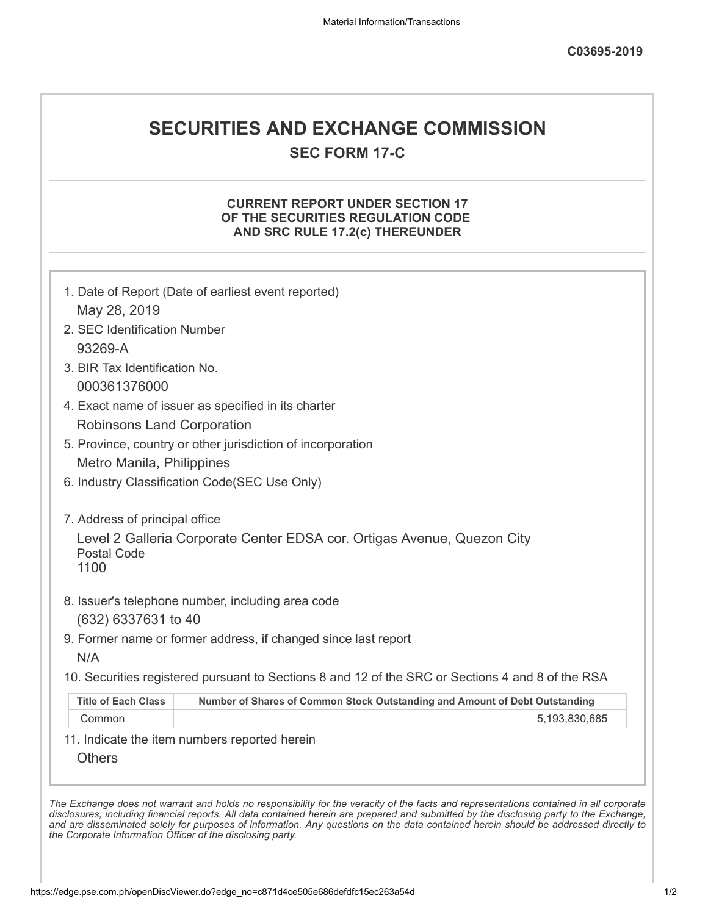## **SECURITIES AND EXCHANGE COMMISSION**

**SEC FORM 17-C**

## **CURRENT REPORT UNDER SECTION 17 OF THE SECURITIES REGULATION CODE AND SRC RULE 17.2(c) THEREUNDER**

|                                   | 1. Date of Report (Date of earliest event reported)                                               |
|-----------------------------------|---------------------------------------------------------------------------------------------------|
| May 28, 2019                      |                                                                                                   |
| 2. SEC Identification Number      |                                                                                                   |
| 93269-A                           |                                                                                                   |
| 3. BIR Tax Identification No.     |                                                                                                   |
| 000361376000                      |                                                                                                   |
|                                   | 4. Exact name of issuer as specified in its charter                                               |
| <b>Robinsons Land Corporation</b> |                                                                                                   |
|                                   | 5. Province, country or other jurisdiction of incorporation                                       |
| Metro Manila, Philippines         |                                                                                                   |
|                                   | 6. Industry Classification Code(SEC Use Only)                                                     |
|                                   |                                                                                                   |
| 7. Address of principal office    |                                                                                                   |
| <b>Postal Code</b><br>1100        | Level 2 Galleria Corporate Center EDSA cor. Ortigas Avenue, Quezon City                           |
|                                   | 8. Issuer's telephone number, including area code                                                 |
| (632) 6337631 to 40               |                                                                                                   |
|                                   | 9. Former name or former address, if changed since last report                                    |
| N/A                               |                                                                                                   |
|                                   | 10. Securities registered pursuant to Sections 8 and 12 of the SRC or Sections 4 and 8 of the RSA |
| <b>Title of Each Class</b>        | Number of Shares of Common Stock Outstanding and Amount of Debt Outstanding                       |
| Common                            | 5,193,830,685                                                                                     |
|                                   | 11. Indicate the item numbers reported herein                                                     |
|                                   |                                                                                                   |

*disclosures, including financial reports. All data contained herein are prepared and submitted by the disclosing party to the Exchange, and are disseminated solely for purposes of information. Any questions on the data contained herein should be addressed directly to the Corporate Information Officer of the disclosing party.*